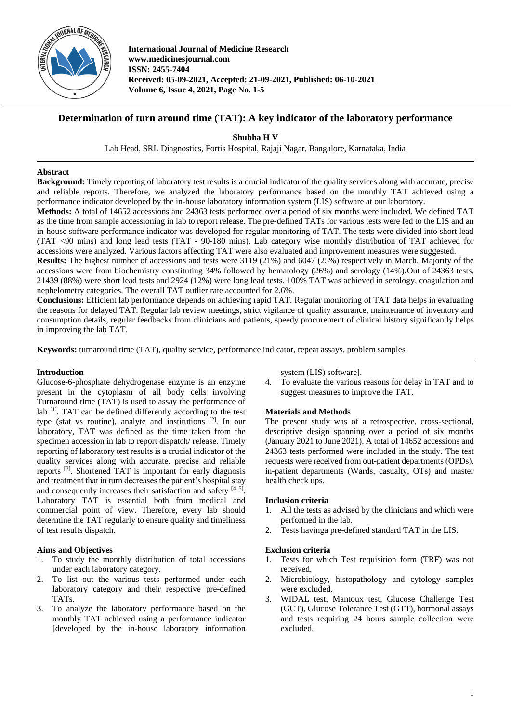

**International Journal of Medicine Research www.medicinesjournal.com ISSN: 2455-7404 Received: 05-09-2021, Accepted: 21-09-2021, Published: 06-10-2021 Volume 6, Issue 4, 2021, Page No. 1-5**

# **Determination of turn around time (TAT): A key indicator of the laboratory performance**

**Shubha H V**

Lab Head, SRL Diagnostics, Fortis Hospital, Rajaji Nagar, Bangalore, Karnataka, India

### **Abstract**

**Background:** Timely reporting of laboratory test results is a crucial indicator of the quality services along with accurate, precise and reliable reports. Therefore, we analyzed the laboratory performance based on the monthly TAT achieved using a performance indicator developed by the in-house laboratory information system (LIS) software at our laboratory.

**Methods:** A total of 14652 accessions and 24363 tests performed over a period of six months were included. We defined TAT as the time from sample accessioning in lab to report release. The pre-defined TATs for various tests were fed to the LIS and an in-house software performance indicator was developed for regular monitoring of TAT. The tests were divided into short lead (TAT <90 mins) and long lead tests (TAT - 90-180 mins). Lab category wise monthly distribution of TAT achieved for accessions were analyzed. Various factors affecting TAT were also evaluated and improvement measures were suggested.

**Results:** The highest number of accessions and tests were 3119 (21%) and 6047 (25%) respectively in March. Majority of the accessions were from biochemistry constituting 34% followed by hematology (26%) and serology (14%).Out of 24363 tests, 21439 (88%) were short lead tests and 2924 (12%) were long lead tests. 100% TAT was achieved in serology, coagulation and nephelometry categories. The overall TAT outlier rate accounted for 2.6%.

**Conclusions:** Efficient lab performance depends on achieving rapid TAT. Regular monitoring of TAT data helps in evaluating the reasons for delayed TAT. Regular lab review meetings, strict vigilance of quality assurance, maintenance of inventory and consumption details, regular feedbacks from clinicians and patients, speedy procurement of clinical history significantly helps in improving the lab TAT.

**Keywords:** turnaround time (TAT), quality service, performance indicator, repeat assays, problem samples

# **Introduction**

Glucose-6-phosphate dehydrogenase enzyme is an enzyme present in the cytoplasm of all body cells involving Turnaround time (TAT) is used to assay the performance of lab <sup>[1]</sup>. TAT can be defined differently according to the test type (stat vs routine), analyte and institutions  $[2]$ . In our laboratory, TAT was defined as the time taken from the specimen accession in lab to report dispatch/ release. Timely reporting of laboratory test results is a crucial indicator of the quality services along with accurate, precise and reliable reports [3]. Shortened TAT is important for early diagnosis and treatment that in turn decreases the patient's hospital stay and consequently increases their satisfaction and safety  $[4, 5]$ . Laboratory TAT is essential both from medical and commercial point of view. Therefore, every lab should determine the TAT regularly to ensure quality and timeliness of test results dispatch.

# **Aims and Objectives**

- 1. To study the monthly distribution of total accessions under each laboratory category.
- 2. To list out the various tests performed under each laboratory category and their respective pre-defined TATs.
- 3. To analyze the laboratory performance based on the monthly TAT achieved using a performance indicator [developed by the in-house laboratory information

system (LIS) software].

4. To evaluate the various reasons for delay in TAT and to suggest measures to improve the TAT.

## **Materials and Methods**

The present study was of a retrospective, cross-sectional, descriptive design spanning over a period of six months (January 2021 to June 2021). A total of 14652 accessions and 24363 tests performed were included in the study. The test requests were received from out-patient departments (OPDs), in-patient departments (Wards, casualty, OTs) and master health check ups.

### **Inclusion criteria**

- 1. All the tests as advised by the clinicians and which were performed in the lab.
- 2. Tests havinga pre-defined standard TAT in the LIS.

#### **Exclusion criteria**

- 1. Tests for which Test requisition form (TRF) was not received.
- 2. Microbiology, histopathology and cytology samples were excluded.
- 3. WIDAL test, Mantoux test, Glucose Challenge Test (GCT), Glucose Tolerance Test (GTT), hormonal assays and tests requiring 24 hours sample collection were excluded.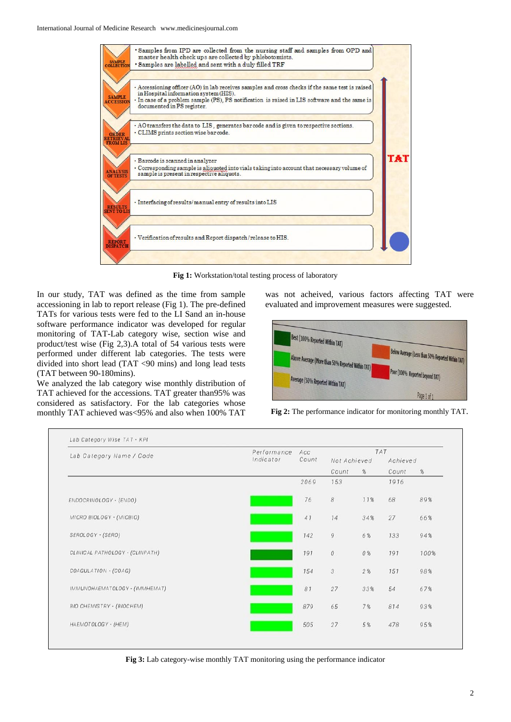

Fig 1: Workstation/total testing process of laboratory

In our study, TAT was defined as the time from sample accessioning in lab to report release (Fig 1). The pre-defined TATs for various tests were fed to the LI Sand an in-house software performance indicator was developed for regular monitoring of TAT-Lab category wise, section wise and product/test wise (Fig 2,3).A total of 54 various tests were performed under different lab categories. The tests were divided into short lead (TAT <90 mins) and long lead tests (TAT between 90-180mins).

We analyzed the lab category wise monthly distribution of TAT achieved for the accessions. TAT greater than95% was considered as satisfactory. For the lab categories whose monthly TAT achieved was<95% and also when 100% TAT

was not acheived, various factors affecting TAT were evaluated and improvement measures were suggested.





| Lab Category Name / Code         | Performance | Acc   |              |     | TAT      |      |
|----------------------------------|-------------|-------|--------------|-----|----------|------|
|                                  | Indicator   | Count | Not Achieved |     | Achieved |      |
|                                  |             |       | Count        | %   | Count    | $\%$ |
|                                  |             | 2069  | 153          |     | 1916     |      |
| ENDOCRINOLOGY - (ENDO)           |             | 76    | $\it 8$      | 11% | 68       | 89%  |
| MICRO BIOLOGY - (MICBIO)         |             | 41    | 14           | 34% | 27       | 66%  |
| SEROLOGY - (SERO)                |             | 142   | $\mathcal G$ | 6%  | 133      | 94%  |
| CLINICAL PATHOLOGY - (CLINPATH)  |             | 191   | $\it{0}$     | 0%  | 191      | 100% |
| COAGULATION - (COAG)             |             | 154   | $\sqrt{3}$   | 2%  | 151      | 98%  |
| IMMUNOHAEMATOLOGY - (IMMHEMAT)   |             | 81    | 27           | 33% | 54       | 67%  |
| <b>BIO CHEMISTRY - (BIOCHEM)</b> |             | 879   | 65           | 7%  | 814      | 93%  |
| HAEMOTOLOGY - (HEM)              |             | 505   | 27           | 5 % | 478      | 95%  |

**Fig 3:** Lab category-wise monthly TAT monitoring using the performance indicator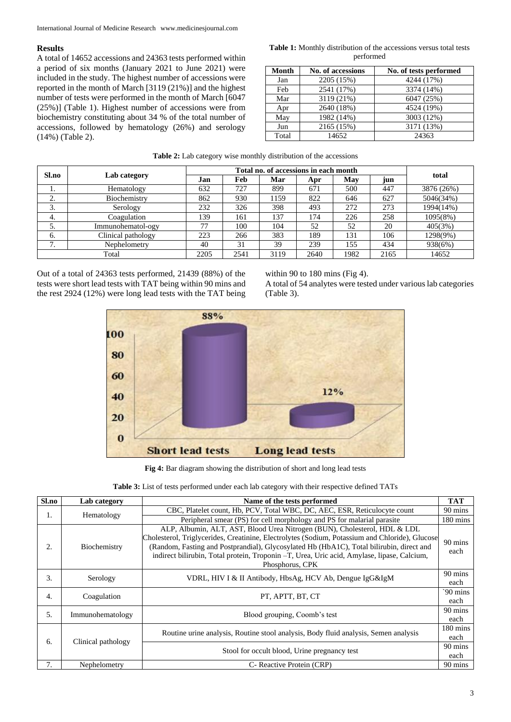### **Results**

A total of 14652 accessions and 24363 tests performed within a period of six months (January 2021 to June 2021) were included in the study. The highest number of accessions were reported in the month of March [3119 (21%)] and the highest number of tests were performed in the month of March [6047 (25%)] (Table 1). Highest number of accessions were from biochemistry constituting about 34 % of the total number of accessions, followed by hematology (26%) and serology (14%) (Table 2).

| <b>Table 1:</b> Monthly distribution of the accessions versus total tests |  |
|---------------------------------------------------------------------------|--|
| performed                                                                 |  |

| Month | <b>No. of accessions</b> | No. of tests performed |
|-------|--------------------------|------------------------|
| Jan   | 2205 (15%)               | 4244 (17%)             |
| Feb   | 2541 (17%)               | 3374 (14%)             |
| Mar   | 3119 (21%)               | 6047 (25%)             |
| Apr   | 2640 (18%)               | 4524 (19%)             |
| May   | 1982 (14%)               | 3003 (12%)             |
| Jun   | 2165 (15%)               | 3171 (13%)             |
| Total | 14652                    | 24363                  |

|  |  |  | <b>Table 2:</b> Lab category wise monthly distribution of the accessions |  |
|--|--|--|--------------------------------------------------------------------------|--|
|--|--|--|--------------------------------------------------------------------------|--|

| Sl.no              |                    | Total no. of accessions in each month |      |      |      |      |      | total      |
|--------------------|--------------------|---------------------------------------|------|------|------|------|------|------------|
|                    | Lab category       | Jan                                   | Feb  | Mar  | Apr  | May  | jun  |            |
|                    | Hematology         | 632                                   | 727  | 899  | 671  | 500  | 447  | 3876 (26%) |
| ◠<br><u>، ،</u>    | Biochemistry       | 862                                   | 930  | 1159 | 822  | 646  | 627  | 5046(34%)  |
| 3.                 | Serology           | 232                                   | 326  | 398  | 493  | 272  | 273  | 1994(14%)  |
| 4.                 | Coagulation        | 139                                   | 161  | 137  | 174  | 226  | 258  | 1095(8%)   |
| 5.                 | Immunohematol-ogy  | 77                                    | 100  | 104  | 52   | 52   | 20   | 405(3%)    |
| 6.                 | Clinical pathology | 223                                   | 266  | 383  | 189  | 131  | 106  | 1298(9%)   |
| $\mathbf{r}$<br>., | Nephelometry       | 40                                    | 31   | 39   | 239  | 155  | 434  | 938(6%)    |
|                    | Total              | 2205                                  | 2541 | 3119 | 2640 | 1982 | 2165 | 14652      |

Out of a total of 24363 tests performed, 21439 (88%) of the tests were short lead tests with TAT being within 90 mins and the rest 2924 (12%) were long lead tests with the TAT being within 90 to 180 mins (Fig 4).

A total of 54 analytes were tested under various lab categories (Table 3).



**Fig 4:** Bar diagram showing the distribution of short and long lead tests

| Sl.no                    | Lab category     | Name of the tests performed                                                                                                                                                                                                                                                                                                                                                              | <b>TAT</b>                 |
|--------------------------|------------------|------------------------------------------------------------------------------------------------------------------------------------------------------------------------------------------------------------------------------------------------------------------------------------------------------------------------------------------------------------------------------------------|----------------------------|
| 1.                       | Hematology       | CBC, Platelet count, Hb, PCV, Total WBC, DC, AEC, ESR, Reticulocyte count                                                                                                                                                                                                                                                                                                                | 90 mins                    |
|                          |                  | Peripheral smear (PS) for cell morphology and PS for malarial parasite                                                                                                                                                                                                                                                                                                                   | $180 \text{ mins}$         |
| 2.                       | Biochemistry     | ALP, Albumin, ALT, AST, Blood Urea Nitrogen (BUN), Cholesterol, HDL & LDL<br>Cholesterol, Triglycerides, Creatinine, Electrolytes (Sodium, Potassium and Chloride), Glucose<br>(Random, Fasting and Postprandial), Glycosylated Hb (HbA1C), Total bilirubin, direct and<br>indirect bilirubin, Total protein, Troponin -T, Urea, Uric acid, Amylase, lipase, Calcium,<br>Phosphorus, CPK | 90 mins<br>each            |
| 3.                       | Serology         | VDRL, HIV I & II Antibody, HbsAg, HCV Ab, Dengue IgG&IgM                                                                                                                                                                                                                                                                                                                                 | 90 mins<br>each            |
| $\overline{4}$ .         | Coagulation      | PT. APTT. BT. CT                                                                                                                                                                                                                                                                                                                                                                         | $^{\circ}90$ mins<br>each  |
| 5.                       | Immunohematology | Blood grouping, Coomb's test                                                                                                                                                                                                                                                                                                                                                             | 90 mins<br>each            |
| 6.<br>Clinical pathology |                  | Routine urine analysis, Routine stool analysis, Body fluid analysis, Semen analysis                                                                                                                                                                                                                                                                                                      | $180 \text{ mins}$<br>each |
|                          |                  | Stool for occult blood, Urine pregnancy test                                                                                                                                                                                                                                                                                                                                             | 90 mins<br>each            |
| 7.                       | Nephelometry     | C- Reactive Protein (CRP)                                                                                                                                                                                                                                                                                                                                                                | 90 mins                    |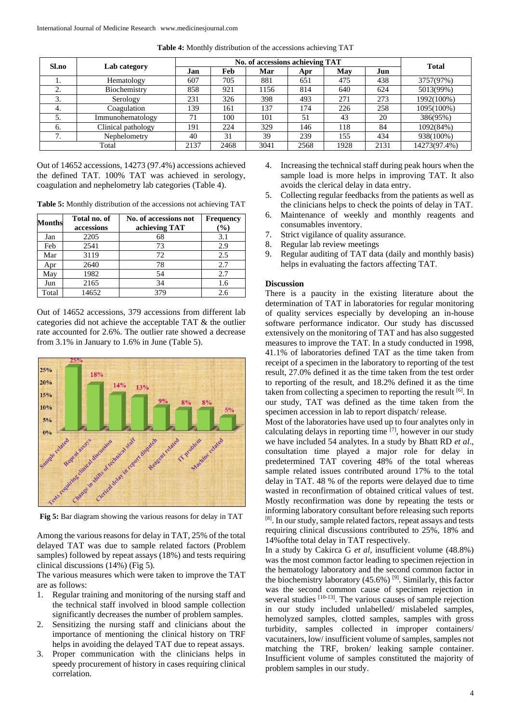|                            |                    | No. of accessions achieving TAT |      |      |      |      |      |              |
|----------------------------|--------------------|---------------------------------|------|------|------|------|------|--------------|
| Sl.no                      | Lab category       | Jan                             | Feb  | Mar  | Apr  | May  | Jun  | <b>Total</b> |
|                            | Hematology         | 607                             | 705  | 881  | 651  | 475  | 438  | 3757(97%)    |
| ۷.                         | Biochemistry       | 858                             | 921  | 1156 | 814  | 640  | 624  | 5013(99%)    |
| 3.                         | Serology           | 231                             | 326  | 398  | 493  | 271  | 273  | 1992(100%)   |
| 4.                         | Coagulation        | 139                             | 161  | 137  | 174  | 226  | 258  | 1095(100%)   |
| 5.                         | Immunohematology   | 71                              | 100  | 101  | 51   | 43   | 20   | 386(95%)     |
| 6.                         | Clinical pathology | 191                             | 224  | 329  | 146  | 118  | 84   | 1092(84%)    |
| $\mathbf{r}$<br>$\prime$ . | Nephelometry       | 40                              | 31   | 39   | 239  | 155  | 434  | 938(100%)    |
|                            | Total              | 2137                            | 2468 | 3041 | 2568 | 1928 | 2131 | 14273(97.4%) |

**Table 4:** Monthly distribution of the accessions achieving TAT

Out of 14652 accessions, 14273 (97.4%) accessions achieved the defined TAT. 100% TAT was achieved in serology, coagulation and nephelometry lab categories (Table 4).

**Table 5:** Monthly distribution of the accessions not achieving TAT

| <b>Months</b> | Total no. of<br>accessions | No. of accessions not<br>achieving TAT | <b>Frequency</b><br>$\left( \frac{9}{6} \right)$ |
|---------------|----------------------------|----------------------------------------|--------------------------------------------------|
| Jan           | 2205                       | 68                                     | 3.1                                              |
| Feb           | 2541                       | 73                                     | 2.9                                              |
| Mar           | 3119                       | 72                                     | 2.5                                              |
| Apr           | 2640                       | 78                                     | 2.7                                              |
| May           | 1982                       | 54                                     | 2.7                                              |
| Jun           | 2165                       | 34                                     | 1.6                                              |
| Total         | 14652                      | 379                                    | 2.6                                              |

Out of 14652 accessions, 379 accessions from different lab categories did not achieve the acceptable TAT & the outlier rate accounted for 2.6%. The outlier rate showed a decrease from 3.1% in January to 1.6% in June (Table 5).



**Fig 5:** Bar diagram showing the various reasons for delay in TAT

Among the various reasons for delay in TAT, 25% of the total delayed TAT was due to sample related factors (Problem samples) followed by repeat assays (18%) and tests requiring clinical discussions (14%) (Fig 5).

The various measures which were taken to improve the TAT are as follows:

- 1. Regular training and monitoring of the nursing staff and the technical staff involved in blood sample collection significantly decreases the number of problem samples.
- 2. Sensitizing the nursing staff and clinicians about the importance of mentioning the clinical history on TRF helps in avoiding the delayed TAT due to repeat assays.
- 3. Proper communication with the clinicians helps in speedy procurement of history in cases requiring clinical correlation.
- 4. Increasing the technical staff during peak hours when the sample load is more helps in improving TAT. It also avoids the clerical delay in data entry.
- 5. Collecting regular feedbacks from the patients as well as the clinicians helps to check the points of delay in TAT.
- 6. Maintenance of weekly and monthly reagents and consumables inventory.
- 7. Strict vigilance of quality assurance.
- 8. Regular lab review meetings
- 9. Regular auditing of TAT data (daily and monthly basis) helps in evaluating the factors affecting TAT.

#### **Discussion**

There is a paucity in the existing literature about the determination of TAT in laboratories for regular monitoring of quality services especially by developing an in-house software performance indicator. Our study has discussed extensively on the monitoring of TAT and has also suggested measures to improve the TAT. In a study conducted in 1998, 41.1% of laboratories defined TAT as the time taken from receipt of a specimen in the laboratory to reporting of the test result, 27.0% defined it as the time taken from the test order to reporting of the result, and 18.2% defined it as the time taken from collecting a specimen to reporting the result  $[6]$ . In our study, TAT was defined as the time taken from the specimen accession in lab to report dispatch/ release.

Most of the laboratories have used up to four analytes only in calculating delays in reporting time  $[7]$ , however in our study we have included 54 analytes. In a study by Bhatt RD *et al*., consultation time played a major role for delay in predetermined TAT covering 48% of the total whereas sample related issues contributed around 17% to the total delay in TAT. 48 % of the reports were delayed due to time wasted in reconfirmation of obtained critical values of test. Mostly reconfirmation was done by repeating the tests or informing laboratory consultant before releasing such reports [8]. In our study, sample related factors, repeat assays and tests requiring clinical discussions contributed to 25%, 18% and 14%ofthe total delay in TAT respectively.

In a study by Cakirca G *et al*, insufficient volume (48.8%) was the most common factor leading to specimen rejection in the hematology laboratory and the second common factor in the biochemistry laboratory  $(45.6\%)$ <sup>[9]</sup>. Similarly, this factor was the second common cause of specimen rejection in several studies <sup>[10-13]</sup>. The various causes of sample rejection in our study included unlabelled/ mislabeled samples, hemolyzed samples, clotted samples, samples with gross turbidity, samples collected in improper containers/ vacutainers, low/ insufficient volume of samples, samples not matching the TRF, broken/ leaking sample container. Insufficient volume of samples constituted the majority of problem samples in our study.